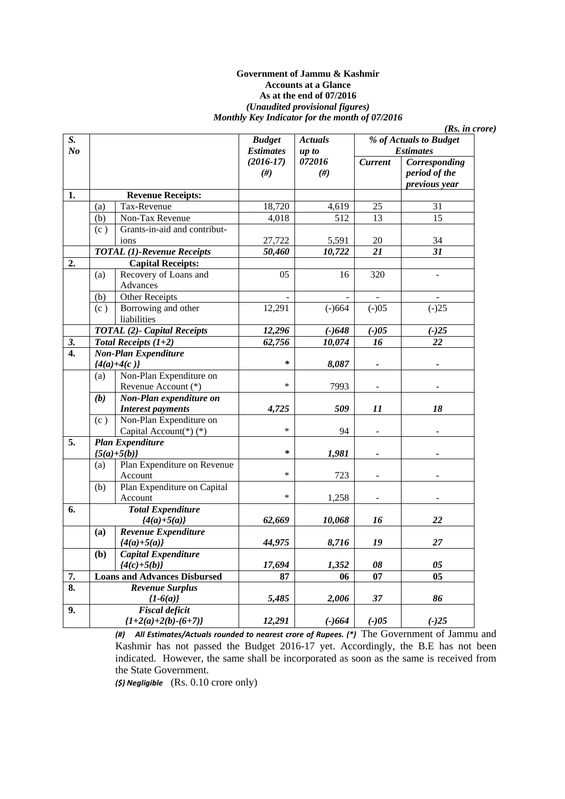#### **Government of Jammu & Kashmir Accounts at a Glance As at the end of 07/2016**  *(Unaudited provisional figures) Monthly Key Indicator for the month of 07/2016*

*(Rs. in crore)* 

*% of Actuals to Budget Estimates S. No Budget Estimates (2016-17) (#) Actuals up to 072016 (#) Current Corresponding period of the previous year*  **1. Revenue Receipts:**  (a) Tax-Revenue 18,720 4,619 25 31 (b) Non-Tax Revenue 4,018 512 13 15 (c ) Grants-in-aid and contribut- $1 \quad 27,722 \quad 5,591 \quad 20 \quad 34$  *TOTAL (1)-Revenue Receipts 50,460 10,722 21 31*  **2. Capital Receipts:**  (a) Recovery of Loans and Advances 05 16 320 -  $(b)$  Other Receipts (c ) Borrowing and other liabilities  $12,291$  (-)664 (-)05 (-)25  *TOTAL (2)- Capital Receipts 12,296 (-)648 (-)05 (-)25 3. Total Receipts (1+2) 62,756 10,074 16 22*  **4.** *Non-Plan Expenditure*   ${4(a)+4(c)}$   $*$  8,087 -(a) Non-Plan Expenditure on Revenue Account  $(*)$   $*$  |  $7993$  -*(b) Non-Plan expenditure on Interest payments* 1 4,725 509 11 18 (c ) Non-Plan Expenditure on Capital Account(\*) (\*)  $\qquad \qquad$  \* | 94 **5.** *Plan Expenditure*   $\{5(a)+5(b)\}$  \* 1,981 -(a) Plan Expenditure on Revenue Account  $*$  723 -  $\vert$ (b) Plan Expenditure on Capital Account  $*$   $1,258$  -**6.** *Total Expenditure {4(a)+5(a)} 62,669 10,068 16 22*  **(a)** *Revenue Expenditure {4(a)+5(a)} 44,975 8,716 19 27*  **(b)** *Capital Expenditure {4(c)+5(b)} 17,694 1,352 08 05*  **7.** Loans and Advances Disbursed 87 06 07 05 **8.** *Revenue Surplus {1-6(a)} 5,485 2,006 37 86*  **9.** *Fiscal deficit {1+2(a)+2(b)-(6+7)} 12,291 (-)664 (-)05 (-)25* 

> *(#) All Estimates/Actuals rounded to nearest crore of Rupees. (\*)* The Government of Jammu and Kashmir has not passed the Budget 2016-17 yet. Accordingly, the B.E has not been indicated. However, the same shall be incorporated as soon as the same is received from the State Government.

*(\$) Negligible* (Rs. 0.10 crore only)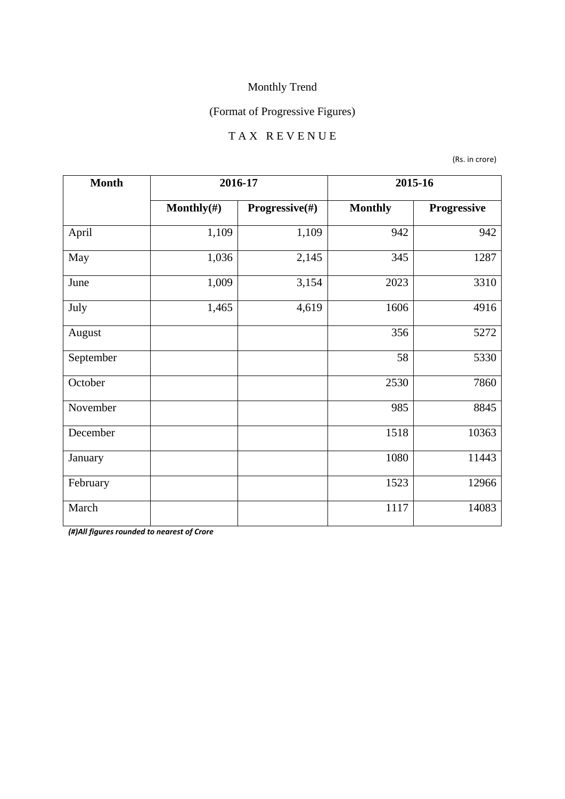### (Format of Progressive Figures)

## T A X R E V E N U E

(Rs. in crore)

| <b>Month</b> | 2016-17        |                | 2015-16        |             |
|--------------|----------------|----------------|----------------|-------------|
|              | Monthly $(\#)$ | Progressive(#) | <b>Monthly</b> | Progressive |
| April        | 1,109          | 1,109          | 942            | 942         |
| May          | 1,036          | 2,145          | 345            | 1287        |
| June         | 1,009          | 3,154          | 2023           | 3310        |
| July         | 1,465          | 4,619          | 1606           | 4916        |
| August       |                |                | 356            | 5272        |
| September    |                |                | 58             | 5330        |
| October      |                |                | 2530           | 7860        |
| November     |                |                | 985            | 8845        |
| December     |                |                | 1518           | 10363       |
| January      |                |                | 1080           | 11443       |
| February     |                |                | 1523           | 12966       |
| March        |                |                | 1117           | 14083       |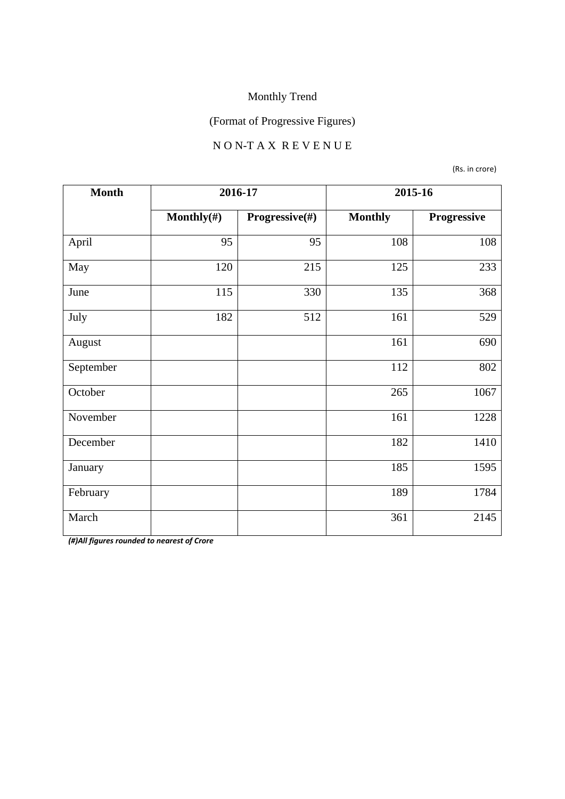# (Format of Progressive Figures)

#### N O N-T A X R E V E N U E

(Rs. in crore)

| <b>Month</b> | 2016-17        |                | 2015-16        |             |
|--------------|----------------|----------------|----------------|-------------|
|              | Monthly $(\#)$ | Progressive(#) | <b>Monthly</b> | Progressive |
| April        | 95             | 95             | 108            | 108         |
| May          | 120            | 215            | 125            | 233         |
| June         | 115            | 330            | 135            | 368         |
| July         | 182            | 512            | 161            | 529         |
| August       |                |                | 161            | 690         |
| September    |                |                | 112            | 802         |
| October      |                |                | 265            | 1067        |
| November     |                |                | 161            | 1228        |
| December     |                |                | 182            | 1410        |
| January      |                |                | 185            | 1595        |
| February     |                |                | 189            | 1784        |
| March        |                |                | 361            | 2145        |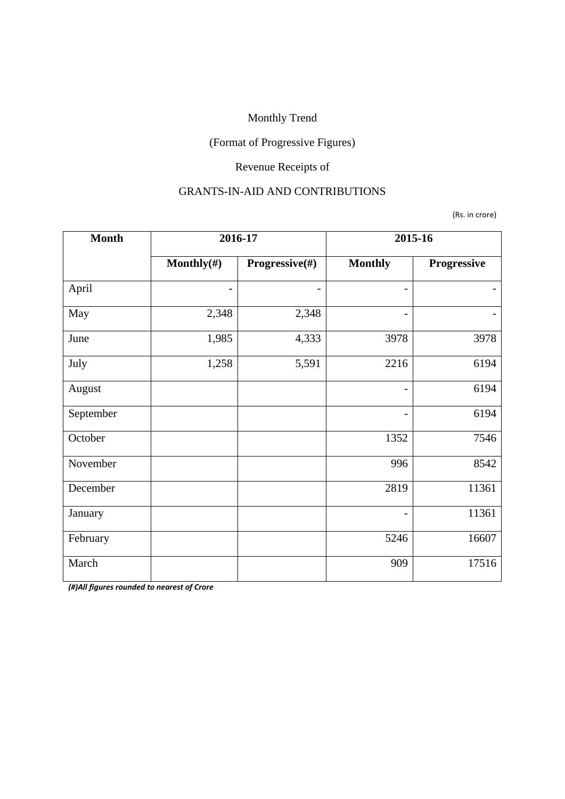### (Format of Progressive Figures)

# Revenue Receipts of

#### GRANTS-IN-AID AND CONTRIBUTIONS

(Rs. in crore)

| <b>Month</b> | 2016-17        |                | 2015-16                  |             |
|--------------|----------------|----------------|--------------------------|-------------|
|              | Monthly $(\#)$ | Progressive(#) | <b>Monthly</b>           | Progressive |
| April        | -              |                | $\overline{\phantom{0}}$ |             |
| May          | 2,348          | 2,348          |                          |             |
| June         | 1,985          | 4,333          | 3978                     | 3978        |
| July         | 1,258          | 5,591          | 2216                     | 6194        |
| August       |                |                | $\overline{\phantom{0}}$ | 6194        |
| September    |                |                |                          | 6194        |
| October      |                |                | 1352                     | 7546        |
| November     |                |                | 996                      | 8542        |
| December     |                |                | 2819                     | 11361       |
| January      |                |                | $\overline{\phantom{0}}$ | 11361       |
| February     |                |                | 5246                     | 16607       |
| March        |                |                | 909                      | 17516       |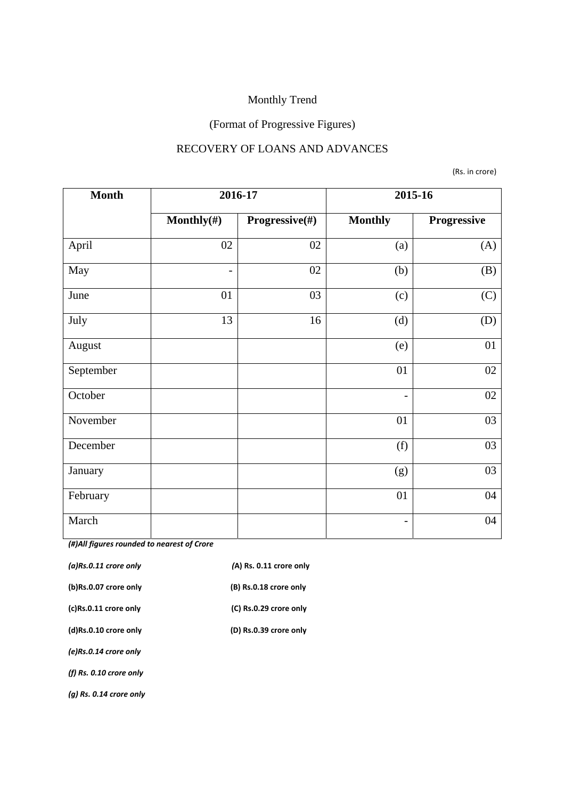# (Format of Progressive Figures)

#### RECOVERY OF LOANS AND ADVANCES

(Rs. in crore)

| <b>Month</b> | 2016-17                  |                | 2015-16                  |             |
|--------------|--------------------------|----------------|--------------------------|-------------|
|              | Monthly $(\#)$           | Progressive(#) | <b>Monthly</b>           | Progressive |
| April        | 02                       | 02             | (a)                      | (A)         |
| May          | $\overline{\phantom{a}}$ | 02             | (b)                      | (B)         |
| June         | 01                       | 03             | (c)                      | (C)         |
| July         | 13                       | 16             | (d)                      | (D)         |
| August       |                          |                | (e)                      | 01          |
| September    |                          |                | 01                       | 02          |
| October      |                          |                | $\overline{\phantom{a}}$ | 02          |
| November     |                          |                | 01                       | 03          |
| December     |                          |                | (f)                      | 03          |
| January      |                          |                | (g)                      | 03          |
| February     |                          |                | 01                       | 04          |
| March        |                          |                | $\overline{\phantom{a}}$ | 04          |

| $(a)$ Rs.0.11 crore only  | (A) Rs. 0.11 crore only |
|---------------------------|-------------------------|
| (b)Rs.0.07 crore only     | (B) Rs.0.18 crore only  |
| (c)Rs.0.11 crore only     | (C) Rs.0.29 crore only  |
| (d)Rs.0.10 crore only     | (D) Rs.0.39 crore only  |
| (e)Rs.0.14 crore only     |                         |
| (f) $Rs. 0.10$ crore only |                         |
| (a) Rs. 0.14 crore only   |                         |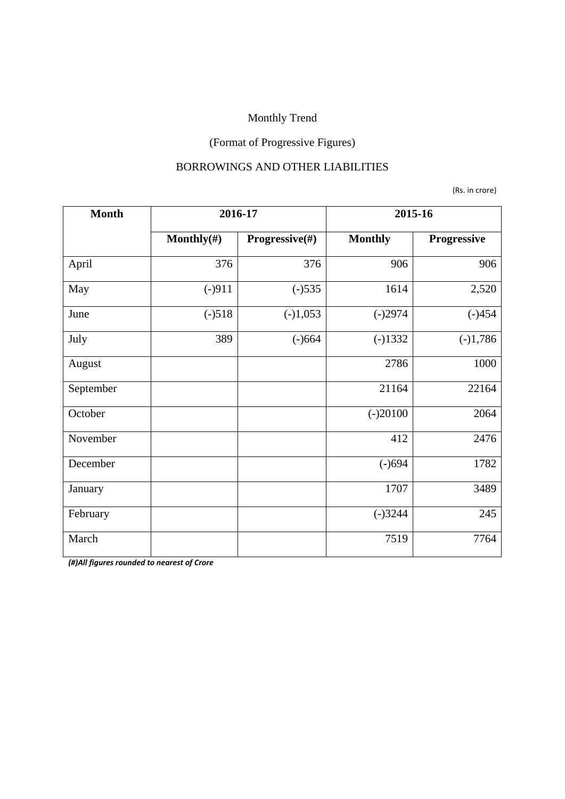# (Format of Progressive Figures)

#### BORROWINGS AND OTHER LIABILITIES

(Rs. in crore)

| <b>Month</b> | 2016-17        |                | 2015-16        |             |
|--------------|----------------|----------------|----------------|-------------|
|              | Monthly $(\#)$ | Progressive(#) | <b>Monthly</b> | Progressive |
| April        | 376            | 376            | 906            | 906         |
| May          | $(-)911$       | $(-)535$       | 1614           | 2,520       |
| June         | $(-)518$       | $(-)1,053$     | $(-)2974$      | $(-)454$    |
| July         | 389            | $(-)664$       | $(-)1332$      | $(-)1,786$  |
| August       |                |                | 2786           | 1000        |
| September    |                |                | 21164          | 22164       |
| October      |                |                | $(-)20100$     | 2064        |
| November     |                |                | 412            | 2476        |
| December     |                |                | $(-)694$       | 1782        |
| January      |                |                | 1707           | 3489        |
| February     |                |                | $(-)3244$      | 245         |
| March        |                |                | 7519           | 7764        |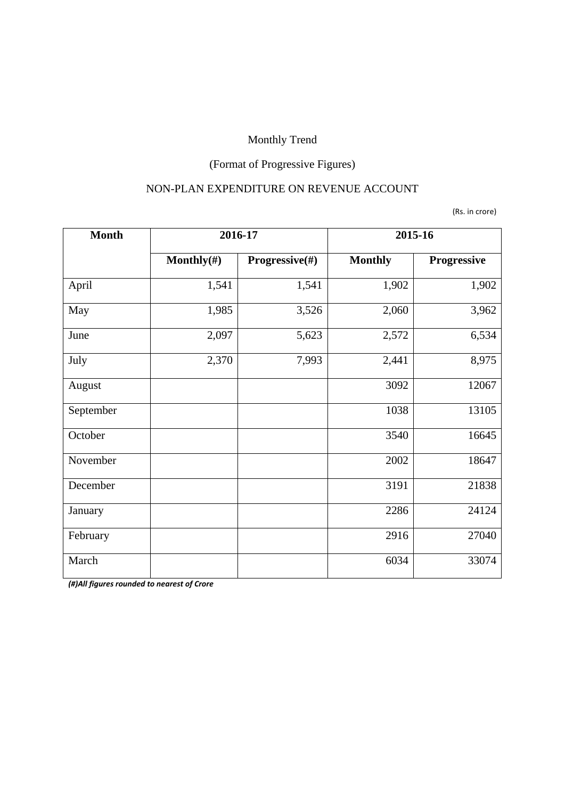# (Format of Progressive Figures)

#### NON-PLAN EXPENDITURE ON REVENUE ACCOUNT

(Rs. in crore)

| <b>Month</b> | 2016-17        |                | 2015-16        |             |
|--------------|----------------|----------------|----------------|-------------|
|              | Monthly $(\#)$ | Progressive(#) | <b>Monthly</b> | Progressive |
| April        | 1,541          | 1,541          | 1,902          | 1,902       |
| May          | 1,985          | 3,526          | 2,060          | 3,962       |
| June         | 2,097          | 5,623          | 2,572          | 6,534       |
| July         | 2,370          | 7,993          | 2,441          | 8,975       |
| August       |                |                | 3092           | 12067       |
| September    |                |                | 1038           | 13105       |
| October      |                |                | 3540           | 16645       |
| November     |                |                | 2002           | 18647       |
| December     |                |                | 3191           | 21838       |
| January      |                |                | 2286           | 24124       |
| February     |                |                | 2916           | 27040       |
| March        |                |                | 6034           | 33074       |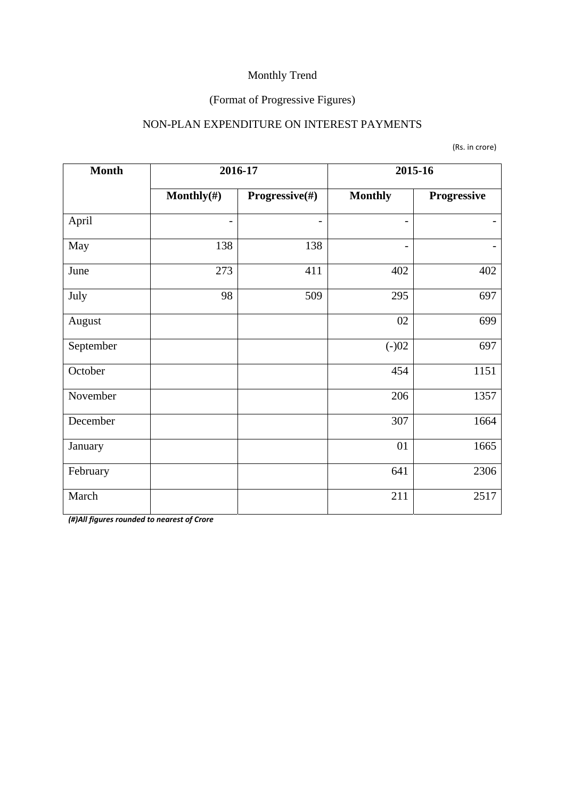### (Format of Progressive Figures)

#### NON-PLAN EXPENDITURE ON INTEREST PAYMENTS

(Rs. in crore)

| <b>Month</b> | 2016-17                      |                | 2015-16                  |             |
|--------------|------------------------------|----------------|--------------------------|-------------|
|              | Monthly $(\#)$               | Progressive(#) | <b>Monthly</b>           | Progressive |
| April        | $\qquad \qquad \blacksquare$ | -              | $\overline{\phantom{a}}$ |             |
| May          | 138                          | 138            | $\qquad \qquad -$        |             |
| June         | 273                          | 411            | 402                      | 402         |
| July         | 98                           | 509            | 295                      | 697         |
| August       |                              |                | 02                       | 699         |
| September    |                              |                | $(-)02$                  | 697         |
| October      |                              |                | 454                      | 1151        |
| November     |                              |                | 206                      | 1357        |
| December     |                              |                | 307                      | 1664        |
| January      |                              |                | 01                       | 1665        |
| February     |                              |                | 641                      | 2306        |
| March        |                              |                | 211                      | 2517        |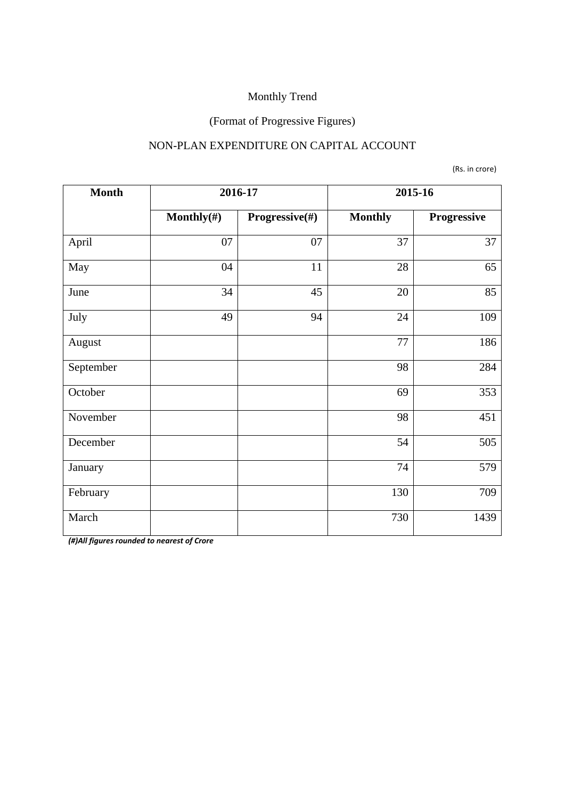#### (Format of Progressive Figures)

#### NON-PLAN EXPENDITURE ON CAPITAL ACCOUNT

(Rs. in crore)

| <b>Month</b> | 2016-17        |                | 2015-16        |             |
|--------------|----------------|----------------|----------------|-------------|
|              | Monthly $(\#)$ | Progressive(#) | <b>Monthly</b> | Progressive |
| April        | 07             | 07             | 37             | 37          |
| May          | 04             | 11             | 28             | 65          |
| June         | 34             | 45             | 20             | 85          |
| July         | 49             | 94             | 24             | 109         |
| August       |                |                | 77             | 186         |
| September    |                |                | 98             | 284         |
| October      |                |                | 69             | 353         |
| November     |                |                | 98             | 451         |
| December     |                |                | 54             | 505         |
| January      |                |                | 74             | 579         |
| February     |                |                | 130            | 709         |
| March        |                |                | 730            | 1439        |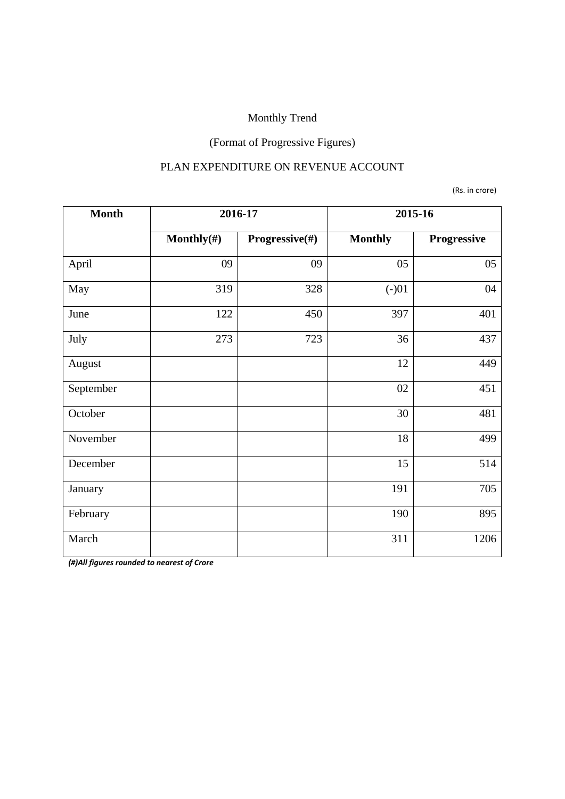# (Format of Progressive Figures)

#### PLAN EXPENDITURE ON REVENUE ACCOUNT

(Rs. in crore)

| <b>Month</b> | 2016-17        |                | 2015-16        |             |
|--------------|----------------|----------------|----------------|-------------|
|              | Monthly $(\#)$ | Progressive(#) | <b>Monthly</b> | Progressive |
| April        | 09             | 09             | 05             | 05          |
| May          | 319            | 328            | $(-)01$        | 04          |
| June         | 122            | 450            | 397            | 401         |
| July         | 273            | 723            | 36             | 437         |
| August       |                |                | 12             | 449         |
| September    |                |                | 02             | 451         |
| October      |                |                | 30             | 481         |
| November     |                |                | 18             | 499         |
| December     |                |                | 15             | 514         |
| January      |                |                | 191            | 705         |
| February     |                |                | 190            | 895         |
| March        |                |                | 311            | 1206        |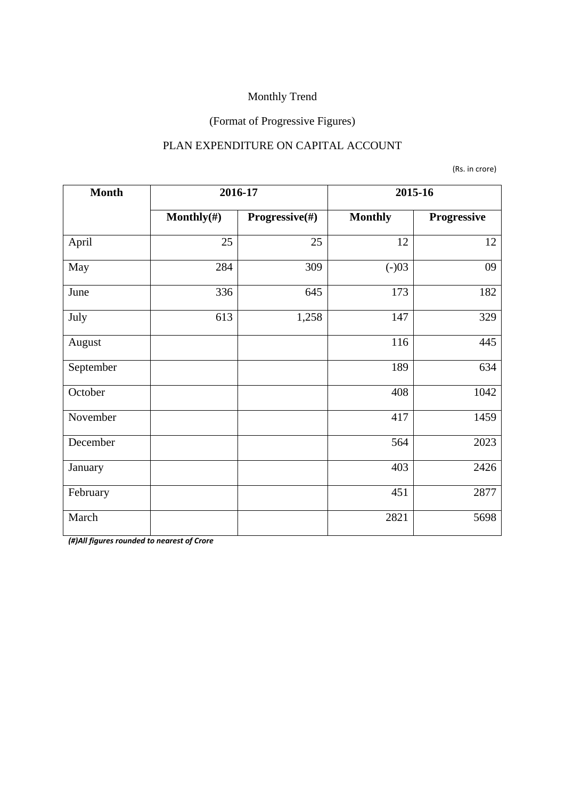### (Format of Progressive Figures)

#### PLAN EXPENDITURE ON CAPITAL ACCOUNT

(Rs. in crore)

| <b>Month</b> | 2016-17        |                | 2015-16        |             |
|--------------|----------------|----------------|----------------|-------------|
|              | Monthly $(\#)$ | Progressive(#) | <b>Monthly</b> | Progressive |
| April        | 25             | 25             | 12             | 12          |
| May          | 284            | 309            | $(-)03$        | 09          |
| June         | 336            | 645            | 173            | 182         |
| July         | 613            | 1,258          | 147            | 329         |
| August       |                |                | 116            | 445         |
| September    |                |                | 189            | 634         |
| October      |                |                | 408            | 1042        |
| November     |                |                | 417            | 1459        |
| December     |                |                | 564            | 2023        |
| January      |                |                | 403            | 2426        |
| February     |                |                | 451            | 2877        |
| March        |                |                | 2821           | 5698        |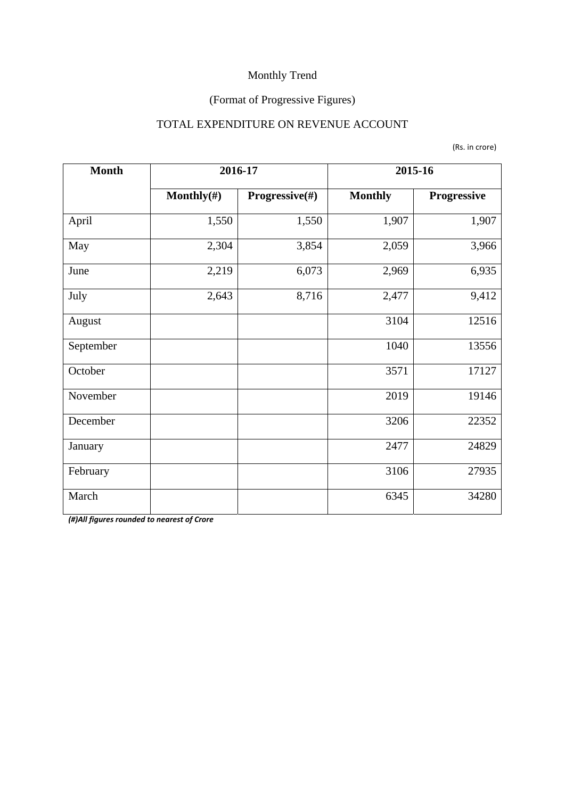### (Format of Progressive Figures)

#### TOTAL EXPENDITURE ON REVENUE ACCOUNT

(Rs. in crore)

| <b>Month</b> | 2016-17        |                | 2015-16        |             |
|--------------|----------------|----------------|----------------|-------------|
|              | Monthly $(\#)$ | Progressive(#) | <b>Monthly</b> | Progressive |
| April        | 1,550          | 1,550          | 1,907          | 1,907       |
| May          | 2,304          | 3,854          | 2,059          | 3,966       |
| June         | 2,219          | 6,073          | 2,969          | 6,935       |
| July         | 2,643          | 8,716          | 2,477          | 9,412       |
| August       |                |                | 3104           | 12516       |
| September    |                |                | 1040           | 13556       |
| October      |                |                | 3571           | 17127       |
| November     |                |                | 2019           | 19146       |
| December     |                |                | 3206           | 22352       |
| January      |                |                | 2477           | 24829       |
| February     |                |                | 3106           | 27935       |
| March        |                |                | 6345           | 34280       |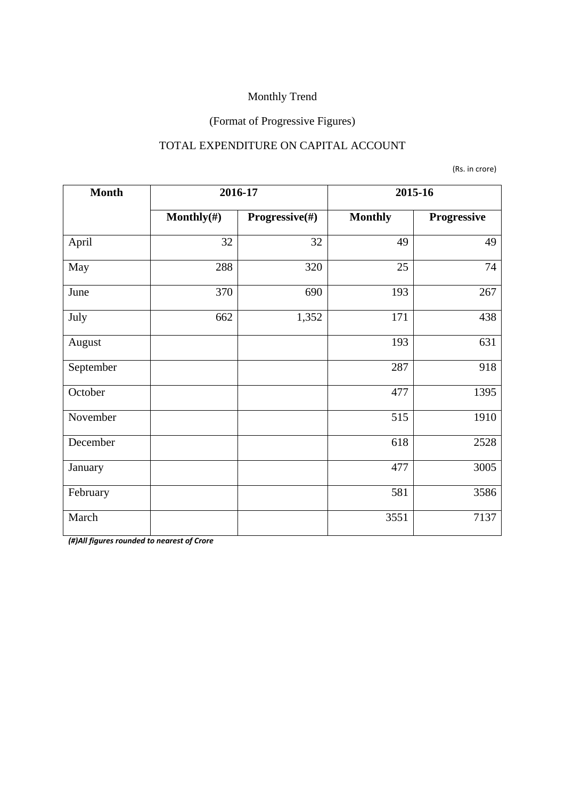### (Format of Progressive Figures)

#### TOTAL EXPENDITURE ON CAPITAL ACCOUNT

(Rs. in crore)

| <b>Month</b> | 2016-17        |                | 2015-16        |             |  |
|--------------|----------------|----------------|----------------|-------------|--|
|              | Monthly $(\#)$ | Progressive(#) | <b>Monthly</b> | Progressive |  |
| April        | 32             | 32             | 49             | 49          |  |
| May          | 288            | 320            | 25             | 74          |  |
| June         | 370            | 690            | 193            | 267         |  |
| July         | 662            | 1,352          | 171            | 438         |  |
| August       |                |                | 193            | 631         |  |
| September    |                |                | 287            | 918         |  |
| October      |                |                | 477            | 1395        |  |
| November     |                |                | 515            | 1910        |  |
| December     |                |                | 618            | 2528        |  |
| January      |                |                | 477            | 3005        |  |
| February     |                |                | 581            | 3586        |  |
| March        |                |                | 3551           | 7137        |  |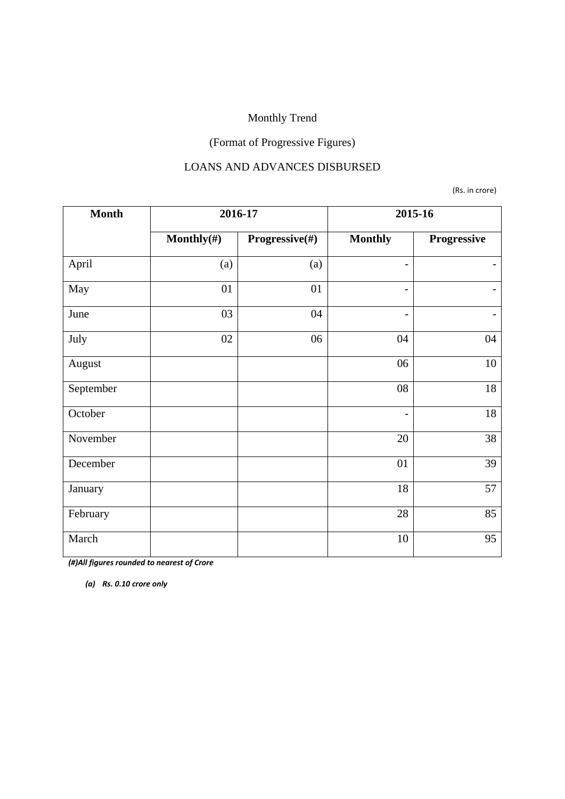### (Format of Progressive Figures)

#### LOANS AND ADVANCES DISBURSED

(Rs. in crore)

| <b>Month</b> | 2016-17    |                | 2015-16                  |                          |  |
|--------------|------------|----------------|--------------------------|--------------------------|--|
|              | Monthly(#) | Progressive(#) | <b>Monthly</b>           | Progressive              |  |
| April        | (a)        | (a)            | $\overline{\phantom{0}}$ |                          |  |
| May          | 01         | 01             | $\overline{\phantom{0}}$ | $\overline{\phantom{a}}$ |  |
| June         | 03         | 04             | -                        | $\overline{\phantom{0}}$ |  |
| July         | 02         | 06             | 04                       | 04                       |  |
| August       |            |                | 06                       | 10                       |  |
| September    |            |                | 08                       | 18                       |  |
| October      |            |                | $\qquad \qquad -$        | 18                       |  |
| November     |            |                | 20                       | 38                       |  |
| December     |            |                | 01                       | 39                       |  |
| January      |            |                | 18                       | 57                       |  |
| February     |            |                | 28                       | 85                       |  |
| March        |            |                | 10                       | 95                       |  |

*(#)All figures rounded to nearest of Crore* 

*(a) Rs. 0.10 crore only*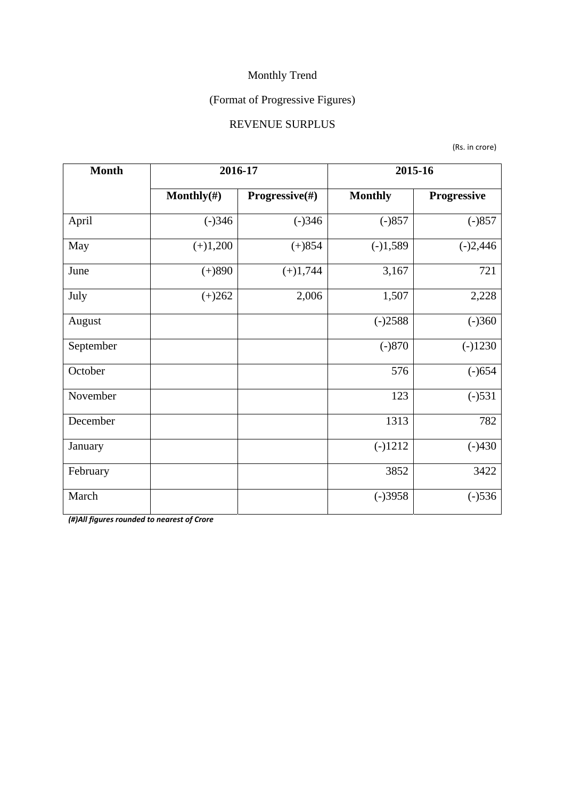### (Format of Progressive Figures)

#### REVENUE SURPLUS

(Rs. in crore)

| <b>Month</b> | 2016-17                |                | 2015-16        |                    |  |
|--------------|------------------------|----------------|----------------|--------------------|--|
|              | Monthly $(\#)$         | Progressive(#) | <b>Monthly</b> | <b>Progressive</b> |  |
| April        | $(-)346$               | $(-)346$       | $(-)857$       | $(-)857$           |  |
| May          | $(+)1,200$<br>$(+)854$ |                | $(-)1,589$     | $(-)2,446$         |  |
| June         | $(+)890$               | $(+)1,744$     | 3,167          | 721                |  |
| July         | $(+)262$               | 2,006          | 1,507          | 2,228              |  |
| August       |                        |                | $(-)2588$      | $(-)360$           |  |
| September    |                        |                | $(-)870$       | $(-)1230$          |  |
| October      |                        |                | 576            | $(-)654$           |  |
| November     |                        |                | 123            | $(-)531$           |  |
| December     |                        |                | 1313           | 782                |  |
| January      |                        |                | $(-)1212$      | $(-)430$           |  |
| February     |                        |                | 3852           | 3422               |  |
| March        |                        |                | $(-)3958$      | $(-)536$           |  |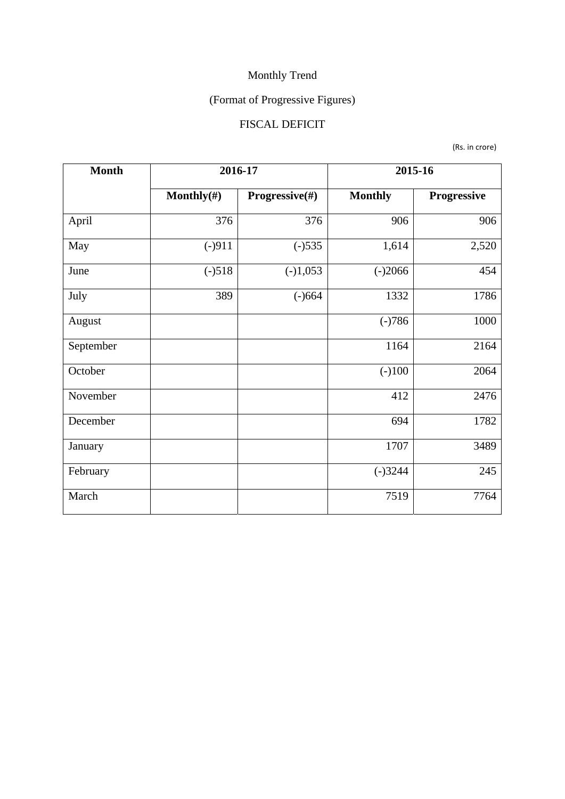# (Format of Progressive Figures)

### FISCAL DEFICIT

(Rs. in crore)

| <b>Month</b> | 2016-17        |                | 2015-16        |             |  |
|--------------|----------------|----------------|----------------|-------------|--|
|              | Monthly $(\#)$ | Progressive(#) | <b>Monthly</b> | Progressive |  |
| April        | 376            | 376            | 906            | 906         |  |
| May          | $(-)911$       | $(-)535$       | 1,614          |             |  |
| June         | $(-)518$       | $(-)1,053$     | $(-)2066$      | 454         |  |
| July         | 389            | $(-)664$       | 1332           | 1786        |  |
| August       |                |                | $(-)786$       | 1000        |  |
| September    |                |                | 1164           | 2164        |  |
| October      |                |                | $(-100)$       | 2064        |  |
| November     |                |                | 412            | 2476        |  |
| December     |                |                | 694            | 1782        |  |
| January      |                |                | 1707           | 3489        |  |
| February     |                |                | $(-)3244$      | 245         |  |
| March        |                |                | 7519           | 7764        |  |